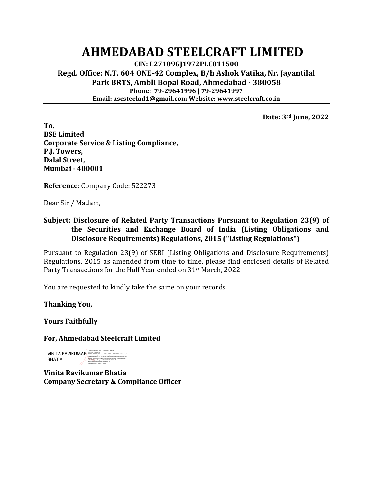## **AHMEDABAD STEELCRAFT LIMITED**

**CIN: L27109GJ1972PLC011500 Regd. Office: N.T. 604 ONE-42 Complex, B/h Ashok Vatika, Nr. Jayantilal Park BRTS, Ambli Bopal Road, Ahmedabad - 380058 Phone: 79-29641996 | 79-29641997 Email: ascsteelad1@gmail.com Website: www.steelcraft.co.in**

**Date: 3rd June, 2022**

**To, BSE Limited Corporate Service & Listing Compliance, P.J. Towers, Dalal Street, Mumbai - 400001**

**Reference**: Company Code: 522273

Dear Sir / Madam,

#### **Subject: Disclosure of Related Party Transactions Pursuant to Regulation 23(9) of the Securities and Exchange Board of India (Listing Obligations and Disclosure Requirements) Regulations, 2015 ("Listing Regulations")**

Pursuant to Regulation 23(9) of SEBI (Listing Obligations and Disclosure Requirements) Regulations, 2015 as amended from time to time, please find enclosed details of Related Party Transactions for the Half Year ended on 31st March, 2022

You are requested to kindly take the same on your records.

**Thanking You,**

**Yours Faithfully**

**For, Ahmedabad Steelcraft Limited**

**VINITA RAVIKUMAR** DIGITALLY VINITA RAVIKUMAR BHATIA<br>2.5.4.2007 - DIGITALLY SIGNED BY VINITAL BERNING BERNING BERNING POLICINAR PORTRAINING BATIA ANG ANGLES DIGIT<br>2.5.4.2007 - DIGITALLY SIGNED BY VINITAL BERNING BERNING BE BHATIA d50eaa11629126, postalCode=382330, st=GUJARAT, serialNumber=43c25525e3474fc191eb5fa1b7550eea9ef38e658f519a7e a3f82071c39702ec, cn=VINITA RAVIKUMAR BHATIA, l=AHMEDABAD, title=2790, pseudonym=279020210426152341947, email=BHOJWANIVINITA4@GMAIL.COM Date: 2022.06.03 19:44:19 +05'30'

**Vinita Ravikumar Bhatia Company Secretary & Compliance Officer**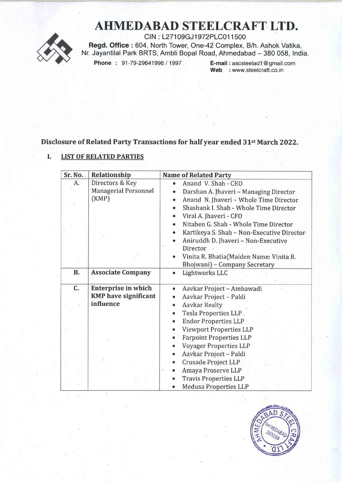# AHMEDABAD STEELCRAFT LTD.



CIN : L271 09GJ1 972PLC01 1 500 Regd. Office : 604, North Tower, One-42 Complex, B/h. Ashok Vatika, Nr. Jayantilal Park BRTS, Ambli Bopal Road, Ahmedabad - 380 058, India.<br>Phone: 91-79-29641996 / 1997 E-mail: ascsteelad1@gmail.com

E-mail: ascsteelad1@gmail.com Web : www.steelcraft.co.in

### Disclosure of Related Party Transactions for half year ended 31<sup>st</sup> March 2022.

#### I. LIST OF RELATED PARTIES

| Sr. No.   | Relationship                | <b>Name of Related Party</b>                        |  |  |
|-----------|-----------------------------|-----------------------------------------------------|--|--|
| A.        | Directors & Key             | Anand V. Shah - CEO<br>$\bullet$                    |  |  |
|           | <b>Managerial Personnel</b> | Darshan A. Jhaveri - Managing Director<br>$\bullet$ |  |  |
|           | (KMP)                       | Anand N. Jhaveri - Whole Time Director<br>$\bullet$ |  |  |
|           |                             | Shashank I. Shah - Whole Time Director              |  |  |
|           |                             | Viral A. Jhaveri - CFO                              |  |  |
|           |                             | Nitaben G. Shah - Whole Time Director<br>$\bullet$  |  |  |
|           |                             | Kartikeya S. Shah - Non-Executive Director          |  |  |
|           |                             | Aniruddh D. Jhaveri - Non-Executive                 |  |  |
|           |                             | Director                                            |  |  |
|           |                             | Vinita R. Bhatia(Maiden Name: Vinita B.             |  |  |
|           |                             | Bhojwani) - Company Secretary                       |  |  |
| <b>B.</b> | <b>Associate Company</b>    | Lightworks LLC                                      |  |  |
|           |                             |                                                     |  |  |
| C.        | <b>Enterprise in which</b>  | Aavkar Project - Ambawadi<br>$\bullet$              |  |  |
|           | <b>KMP</b> have significant | Aavkar Project - Paldi<br>$\bullet$                 |  |  |
|           | influence                   | <b>Aavkar Realty</b><br>$\bullet$                   |  |  |
|           |                             | Tesla Properties LLP.<br>٠                          |  |  |
|           |                             | <b>Endor Properties LLP</b>                         |  |  |
|           |                             | <b>Viewport Properties LLP</b><br>۰                 |  |  |
|           |                             | <b>Farpoint Properties LLP</b>                      |  |  |
|           |                             | <b>Voyager Properties LLP</b><br>۰                  |  |  |
|           |                             | Aavkar Project - Paldi<br>$\bullet$                 |  |  |
|           |                             | Crusade Project LLP<br>$\bullet$                    |  |  |
|           |                             | Amaya Proserve LLP                                  |  |  |
|           |                             | <b>Travis Properties LLP</b>                        |  |  |
|           |                             | <b>Medusa Properties LLP</b>                        |  |  |

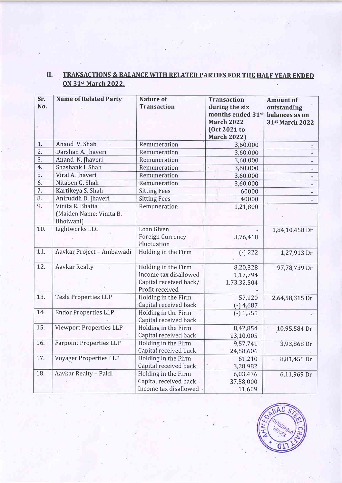## II. TRANSACTIONS & BALANCE WITH RELATED PARTIES FOR THE HALF YEAR ENDED ON 31<sup>st</sup> March 2022.

| Sr.<br>No.       | <b>Name of Related Party</b>   | <b>Nature of</b><br><b>Transaction</b> | <b>Transaction</b><br>during the six | <b>Amount of</b><br>outstanding |
|------------------|--------------------------------|----------------------------------------|--------------------------------------|---------------------------------|
|                  |                                |                                        | months ended 31st                    | balances as on                  |
|                  |                                |                                        | <b>March 2022</b>                    | 31st March 2022                 |
|                  |                                |                                        | (Oct 2021 to                         |                                 |
|                  |                                |                                        | <b>March 2022)</b>                   |                                 |
| 1.               | Anand V. Shah                  | Remuneration                           | 3,60,000                             |                                 |
| $\overline{2}$ . | Darshan A. Jhaveri             | Remuneration                           | 3,60,000                             |                                 |
| 3.               | Anand N. Jhaveri               | Remuneration                           | 3,60,000                             |                                 |
| 4.               | Shashank I. Shah               | Remuneration                           | z.<br>3,60,000                       |                                 |
| $\overline{5}$ . | Viral A. Jhaveri               | Remuneration                           | Ø.<br>3,60,000                       |                                 |
| 6.               | Nitaben G. Shah                | Remuneration                           | 3,60,000                             |                                 |
| 7.               | Kartikeya S. Shah              | <b>Sitting Fees</b>                    | 60000                                |                                 |
| 8.               | Aniruddh D. Jhaveri            | <b>Sitting Fees</b>                    | 40000                                |                                 |
| 9.               | Vinita R. Bhatia               | Remuneration                           | 1,21,800                             |                                 |
|                  | (Maiden Name: Vinita B.        |                                        |                                      |                                 |
|                  | Bhojwani)                      |                                        |                                      |                                 |
| 10.              | Lightworks LLC                 | Loan Given                             |                                      | 1,84,10,458 Dr                  |
|                  |                                | Foreign Currency                       | 3,76,418                             |                                 |
|                  |                                | Fluctuation                            |                                      |                                 |
| 11.              | Aavkar Project - Ambawadi      | Holding in the Firm                    | $(-) 222$                            | 1,27,913 Dr                     |
|                  |                                |                                        |                                      |                                 |
| 12.              | <b>Aavkar Realty</b>           | Holding in the Firm                    | 8,20,328                             | 97,78,739 Dr                    |
|                  |                                | Income tax disallowed                  | 1,17,794                             |                                 |
|                  |                                | Capital received back/                 | 1,73,32,504                          |                                 |
|                  |                                | Profit received                        |                                      |                                 |
| 13.              | <b>Tesla Properties LLP</b>    | Holding in the Firm                    | 57,120                               | 2,64,58,315 Dr                  |
|                  |                                | Capital received back                  | $(-)$ 4,687                          |                                 |
| 14.              | <b>Endor Properties LLP</b>    | Holding in the Firm                    | $(-) 1,555$                          |                                 |
|                  |                                | Capital received back                  |                                      |                                 |
| 15.              | <b>Viewport Properties LLP</b> | Holding in the Firm                    | 8,42;854                             | 10,95,584 Dr                    |
|                  |                                | Capital received back                  | 13,10,005                            |                                 |
| 16.              | <b>Farpoint Properties LLP</b> | Holding in the Firm                    | 9,57,741                             | 3,93,868 Dr                     |
|                  |                                | Capital received back                  | 24,58,606                            |                                 |
| 17.              | <b>Voyager Properties LLP</b>  | Holding in the Firm                    | 61,210                               | 8,81,455 Dr                     |
|                  |                                | Capital received back                  | 3,28,982                             |                                 |
| 18.              | Aavkar Realty - Paldi          | Holding in the Firm                    | 6,03,436                             | 6,11,969 Dr                     |
|                  |                                | Capital received back                  | 37,58,000                            |                                 |
|                  |                                | Income tax disallowed                  | 11,609                               |                                 |